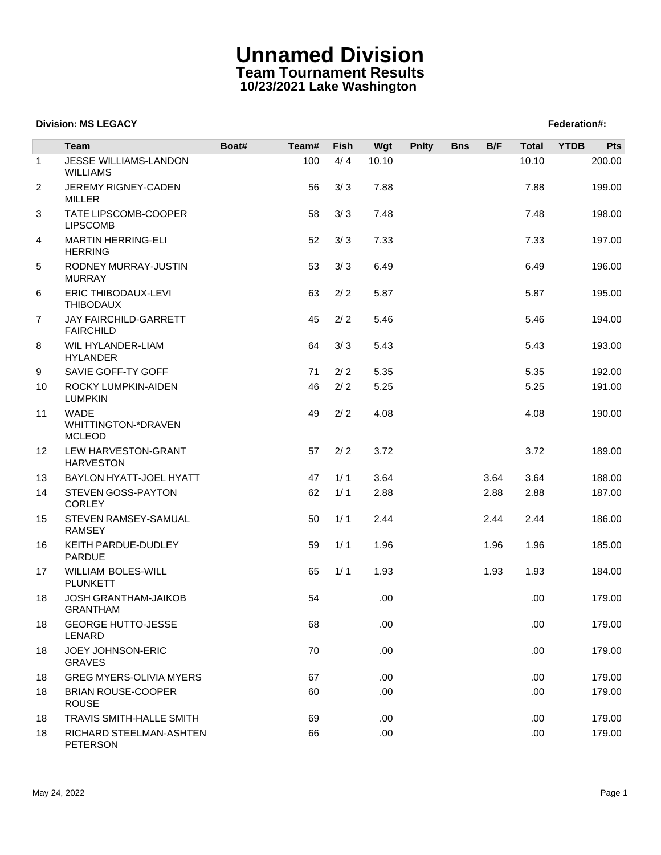# **Unnamed Division Team Tournament Results 10/23/2021 Lake Washington**

## **Division: MS LEGACY Federation: Propose Section: Federation: Federation: Federation: Federation: Federation: Federation: Federation: Federation: Federation: Federation: Federation: Federation:**

|                | <b>Team</b>                                                | Boat# | Team# | Fish | Wgt   | <b>Pnlty</b> | <b>Bns</b> | B/F  | <b>Total</b> | <b>YTDB</b> | Pts    |
|----------------|------------------------------------------------------------|-------|-------|------|-------|--------------|------------|------|--------------|-------------|--------|
| $\mathbf{1}$   | JESSE WILLIAMS-LANDON<br><b>WILLIAMS</b>                   |       | 100   | 4/4  | 10.10 |              |            |      | 10.10        |             | 200.00 |
| $\overline{2}$ | JEREMY RIGNEY-CADEN<br><b>MILLER</b>                       |       | 56    | 3/3  | 7.88  |              |            |      | 7.88         |             | 199.00 |
| 3              | TATE LIPSCOMB-COOPER<br><b>LIPSCOMB</b>                    |       | 58    | 3/3  | 7.48  |              |            |      | 7.48         |             | 198.00 |
| 4              | <b>MARTIN HERRING-ELI</b><br><b>HERRING</b>                |       | 52    | 3/3  | 7.33  |              |            |      | 7.33         |             | 197.00 |
| 5              | RODNEY MURRAY-JUSTIN<br><b>MURRAY</b>                      |       | 53    | 3/3  | 6.49  |              |            |      | 6.49         |             | 196.00 |
| 6              | ERIC THIBODAUX-LEVI<br><b>THIBODAUX</b>                    |       | 63    | 2/2  | 5.87  |              |            |      | 5.87         |             | 195.00 |
| $\overline{7}$ | <b>JAY FAIRCHILD-GARRETT</b><br><b>FAIRCHILD</b>           |       | 45    | 2/2  | 5.46  |              |            |      | 5.46         |             | 194.00 |
| 8              | WIL HYLANDER-LIAM<br><b>HYLANDER</b>                       |       | 64    | 3/3  | 5.43  |              |            |      | 5.43         |             | 193.00 |
| 9              | SAVIE GOFF-TY GOFF                                         |       | 71    | 2/2  | 5.35  |              |            |      | 5.35         |             | 192.00 |
| 10             | ROCKY LUMPKIN-AIDEN<br><b>LUMPKIN</b>                      |       | 46    | 2/2  | 5.25  |              |            |      | 5.25         |             | 191.00 |
| 11             | <b>WADE</b><br><b>WHITTINGTON-*DRAVEN</b><br><b>MCLEOD</b> |       | 49    | 2/2  | 4.08  |              |            |      | 4.08         |             | 190.00 |
| 12             | LEW HARVESTON-GRANT<br><b>HARVESTON</b>                    |       | 57    | 2/2  | 3.72  |              |            |      | 3.72         |             | 189.00 |
| 13             | BAYLON HYATT-JOEL HYATT                                    |       | 47    | 1/1  | 3.64  |              |            | 3.64 | 3.64         |             | 188.00 |
| 14             | STEVEN GOSS-PAYTON<br>CORLEY                               |       | 62    | 1/1  | 2.88  |              |            | 2.88 | 2.88         |             | 187.00 |
| 15             | STEVEN RAMSEY-SAMUAL<br><b>RAMSEY</b>                      |       | 50    | 1/1  | 2.44  |              |            | 2.44 | 2.44         |             | 186.00 |
| 16             | KEITH PARDUE-DUDLEY<br><b>PARDUE</b>                       |       | 59    | 1/1  | 1.96  |              |            | 1.96 | 1.96         |             | 185.00 |
| 17             | WILLIAM BOLES-WILL<br><b>PLUNKETT</b>                      |       | 65    | 1/1  | 1.93  |              |            | 1.93 | 1.93         |             | 184.00 |
| 18             | <b>JOSH GRANTHAM-JAIKOB</b><br><b>GRANTHAM</b>             |       | 54    |      | .00   |              |            |      | .00.         |             | 179.00 |
| 18             | <b>GEORGE HUTTO-JESSE</b><br>LENARD                        |       | 68    |      | .00   |              |            |      | .00          |             | 179.00 |
| 18             | JOEY JOHNSON-ERIC<br><b>GRAVES</b>                         |       | 70    |      | .00.  |              |            |      | .00.         |             | 179.00 |
| 18             | GREG MYERS-OLIVIA MYERS                                    |       | 67    |      | .00.  |              |            |      | .00.         |             | 179.00 |
| 18             | <b>BRIAN ROUSE-COOPER</b><br><b>ROUSE</b>                  |       | 60    |      | .00.  |              |            |      | .00.         |             | 179.00 |
| 18             | <b>TRAVIS SMITH-HALLE SMITH</b>                            |       | 69    |      | .00   |              |            |      | .00.         |             | 179.00 |
| 18             | RICHARD STEELMAN-ASHTEN<br><b>PETERSON</b>                 |       | 66    |      | .00   |              |            |      | .00.         |             | 179.00 |